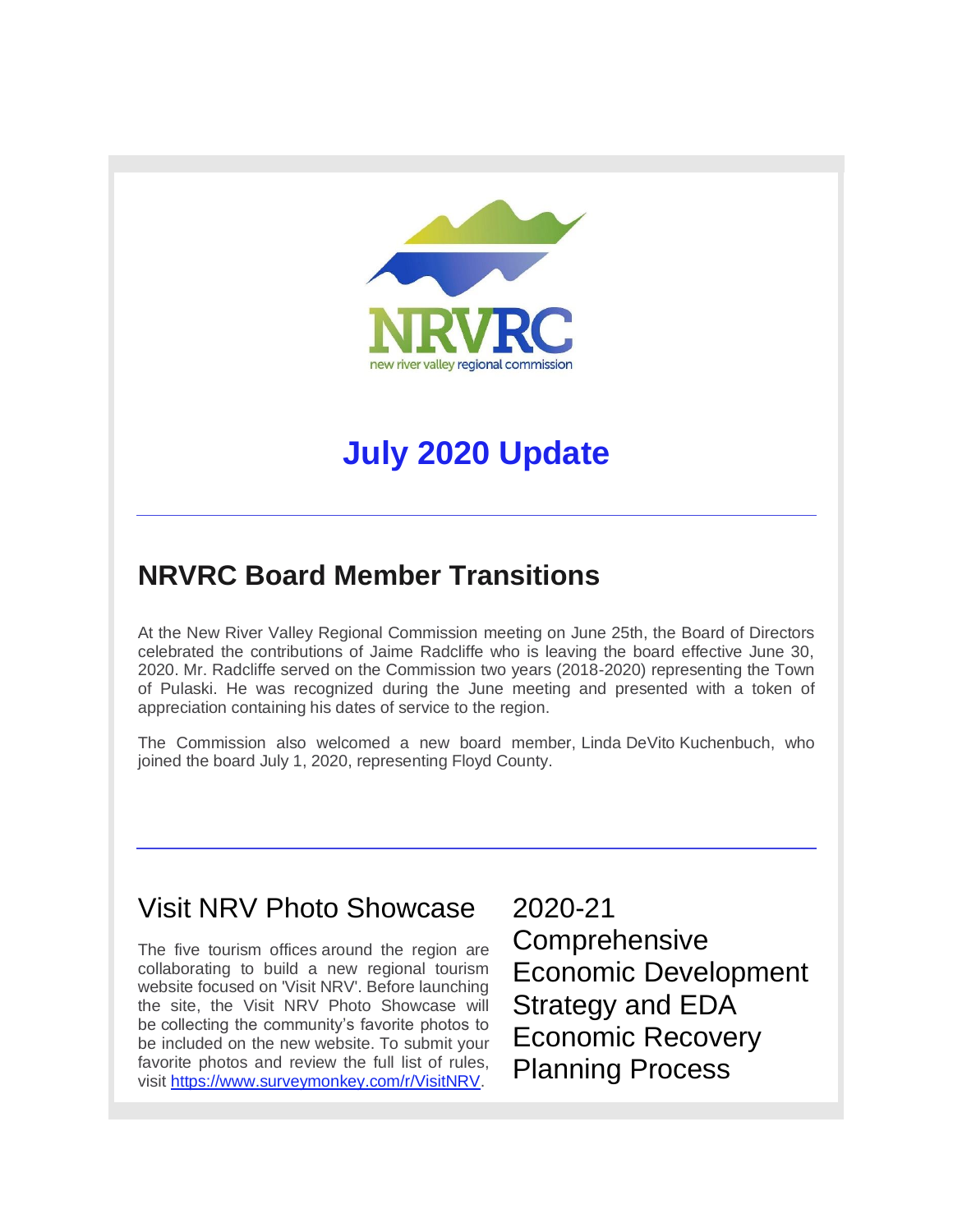

# **July 2020 Update**

## **NRVRC Board Member Transitions**

At the New River Valley Regional Commission meeting on June 25th, the Board of Directors celebrated the contributions of Jaime Radcliffe who is leaving the board effective June 30, 2020. Mr. Radcliffe served on the Commission two years (2018-2020) representing the Town of Pulaski. He was recognized during the June meeting and presented with a token of appreciation containing his dates of service to the region.

The Commission also welcomed a new board member, Linda DeVito Kuchenbuch, who joined the board July 1, 2020, representing Floyd County.

### Visit NRV Photo Showcase

The five tourism offices around the region are collaborating to build a new regional tourism website focused on 'Visit NRV'. Before launching the site, the Visit NRV Photo Showcase will be collecting the community's favorite photos to be included on the new website. To submit your favorite photos and review the full list of rules, visit [https://www.surveymonkey.com/r/VisitNRV.](http://r20.rs6.net/tn.jsp?f=001HJHouxVYymGxbnbNgtbT8WVD2aFg8zwUKnWO1Akz0J-wWNU7IW8HF3nMcfRz4sXyKB8SvaRBgHg539bgRqCqdJMTsbfMlcTIqP1_oiQDcPZd0Iprjdk2rWjuSB5M1oKbO7D1l67eCNHYjoCIgK3Aj20Nao8A0PflckSlcYfDWlU=&c=JsKpB19GHr-PrRaMtlz21dcGURk1wz_2QKyqqnEoVdiIeVrhwjtBWg==&ch=PqHniv3iSXCbs_ZHtPvp8aq5fkeZPNN1FabUdeDAiO_W_pIpy4_oig==)

2020-21 Comprehensive Economic Development Strategy and EDA Economic Recovery Planning Process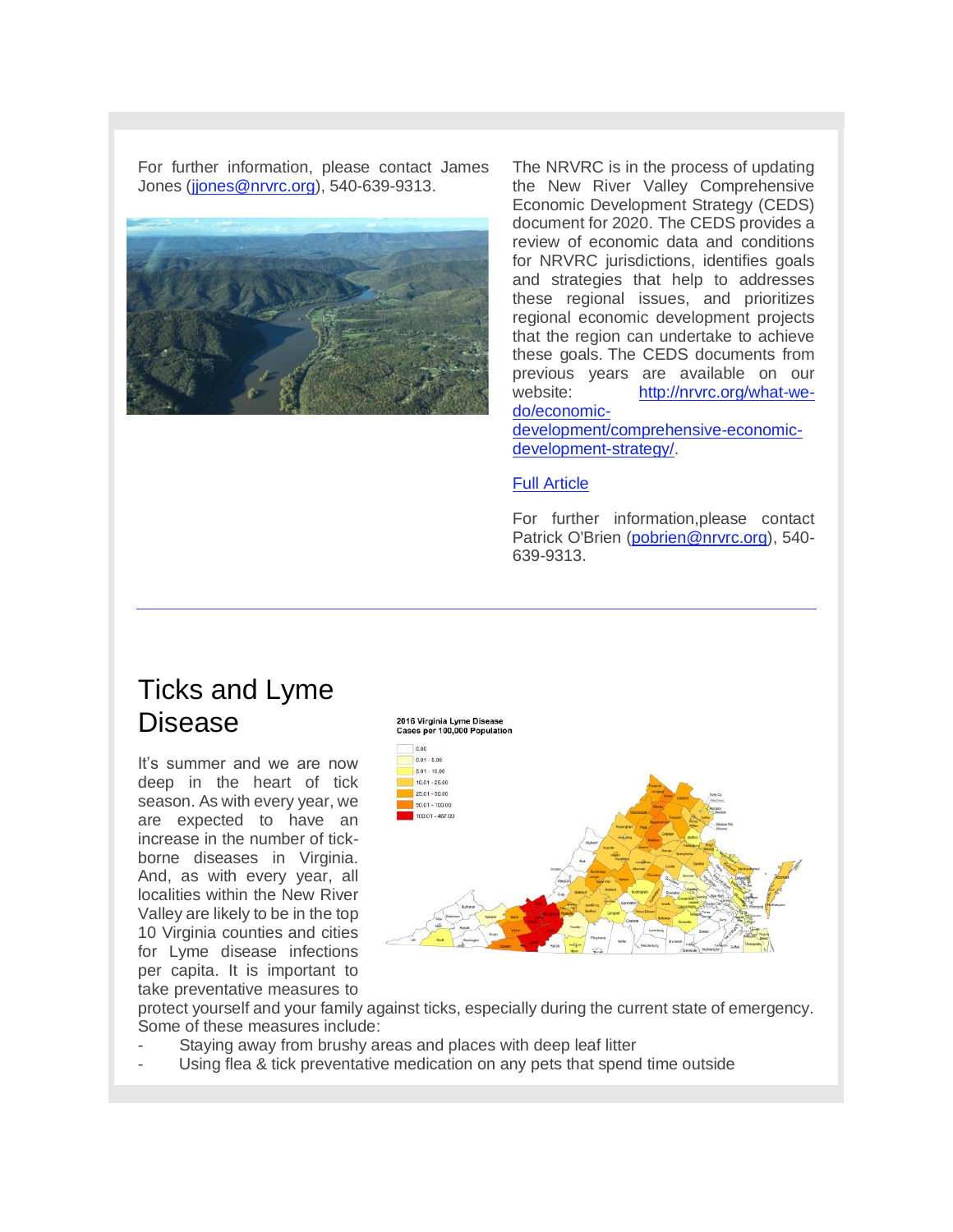For further information, please contact James Jones [\(jjones@nrvrc.org\)](mailto:jjones@nrvrc.org), 540-639-9313.



The NRVRC is in the process of updating the New River Valley Comprehensive Economic Development Strategy (CEDS) document for 2020. The CEDS provides a review of economic data and conditions for NRVRC jurisdictions, identifies goals and strategies that help to addresses these regional issues, and prioritizes regional economic development projects that the region can undertake to achieve these goals. The CEDS documents from previous years are available on our website: [http://nrvrc.org/what-we](http://r20.rs6.net/tn.jsp?f=001HJHouxVYymGxbnbNgtbT8WVD2aFg8zwUKnWO1Akz0J-wWNU7IW8HFyXo1pxDa5UAx1cXBIkppKAGtc24uGpAmHqSFLDJcmB0uNsaFObvSRzk7T48e57FmZoU-58T9j2Wj1rWc6n9KZE6R8Hv_-cE2ysJ4ER2fghC9FF6kAg48bXmUjw1ywuoq7MplTlOKAgsFmr7KqOt7m-1tABdicLsYoTb9JlY6nmzzLfoJzL_Z-XlcHztLoDG_Q==&c=JsKpB19GHr-PrRaMtlz21dcGURk1wz_2QKyqqnEoVdiIeVrhwjtBWg==&ch=PqHniv3iSXCbs_ZHtPvp8aq5fkeZPNN1FabUdeDAiO_W_pIpy4_oig==)[do/economic-](http://r20.rs6.net/tn.jsp?f=001HJHouxVYymGxbnbNgtbT8WVD2aFg8zwUKnWO1Akz0J-wWNU7IW8HFyXo1pxDa5UAx1cXBIkppKAGtc24uGpAmHqSFLDJcmB0uNsaFObvSRzk7T48e57FmZoU-58T9j2Wj1rWc6n9KZE6R8Hv_-cE2ysJ4ER2fghC9FF6kAg48bXmUjw1ywuoq7MplTlOKAgsFmr7KqOt7m-1tABdicLsYoTb9JlY6nmzzLfoJzL_Z-XlcHztLoDG_Q==&c=JsKpB19GHr-PrRaMtlz21dcGURk1wz_2QKyqqnEoVdiIeVrhwjtBWg==&ch=PqHniv3iSXCbs_ZHtPvp8aq5fkeZPNN1FabUdeDAiO_W_pIpy4_oig==)

[development/comprehensive-economic](http://r20.rs6.net/tn.jsp?f=001HJHouxVYymGxbnbNgtbT8WVD2aFg8zwUKnWO1Akz0J-wWNU7IW8HFyXo1pxDa5UAx1cXBIkppKAGtc24uGpAmHqSFLDJcmB0uNsaFObvSRzk7T48e57FmZoU-58T9j2Wj1rWc6n9KZE6R8Hv_-cE2ysJ4ER2fghC9FF6kAg48bXmUjw1ywuoq7MplTlOKAgsFmr7KqOt7m-1tABdicLsYoTb9JlY6nmzzLfoJzL_Z-XlcHztLoDG_Q==&c=JsKpB19GHr-PrRaMtlz21dcGURk1wz_2QKyqqnEoVdiIeVrhwjtBWg==&ch=PqHniv3iSXCbs_ZHtPvp8aq5fkeZPNN1FabUdeDAiO_W_pIpy4_oig==)[development-strategy/.](http://r20.rs6.net/tn.jsp?f=001HJHouxVYymGxbnbNgtbT8WVD2aFg8zwUKnWO1Akz0J-wWNU7IW8HFyXo1pxDa5UAx1cXBIkppKAGtc24uGpAmHqSFLDJcmB0uNsaFObvSRzk7T48e57FmZoU-58T9j2Wj1rWc6n9KZE6R8Hv_-cE2ysJ4ER2fghC9FF6kAg48bXmUjw1ywuoq7MplTlOKAgsFmr7KqOt7m-1tABdicLsYoTb9JlY6nmzzLfoJzL_Z-XlcHztLoDG_Q==&c=JsKpB19GHr-PrRaMtlz21dcGURk1wz_2QKyqqnEoVdiIeVrhwjtBWg==&ch=PqHniv3iSXCbs_ZHtPvp8aq5fkeZPNN1FabUdeDAiO_W_pIpy4_oig==)

#### [Full Article](http://r20.rs6.net/tn.jsp?f=001HJHouxVYymGxbnbNgtbT8WVD2aFg8zwUKnWO1Akz0J-wWNU7IW8HF3nMcfRz4sXy9fGQJkntNetlBRH8Uakks9MMLwXDDDYtcJ7nOp83IEB0cVATU6UNtEyyLW-sJMYLN2Qi8ixohSo8348rT-6hU7piR9U5W77RuYGzyD4LXe0=&c=JsKpB19GHr-PrRaMtlz21dcGURk1wz_2QKyqqnEoVdiIeVrhwjtBWg==&ch=PqHniv3iSXCbs_ZHtPvp8aq5fkeZPNN1FabUdeDAiO_W_pIpy4_oig==)

For further information,please contact Patrick O'Brien [\(pobrien@nrvrc.org\)](mailto:pobrien@nrvrc.org), 540- 639-9313.

#### Ticks and Lyme Disease

It's summer and we are now deep in the heart of tick season. As with every year, we are expected to have an increase in the number of tickborne diseases in Virginia. And, as with every year, all localities within the New River Valley are likely to be in the top 10 Virginia counties and cities for Lyme disease infections per capita. It is important to take preventative measures to



protect yourself and your family against ticks, especially during the current state of emergency. Some of these measures include:

- Staying away from brushy areas and places with deep leaf litter
- Using flea & tick preventative medication on any pets that spend time outside